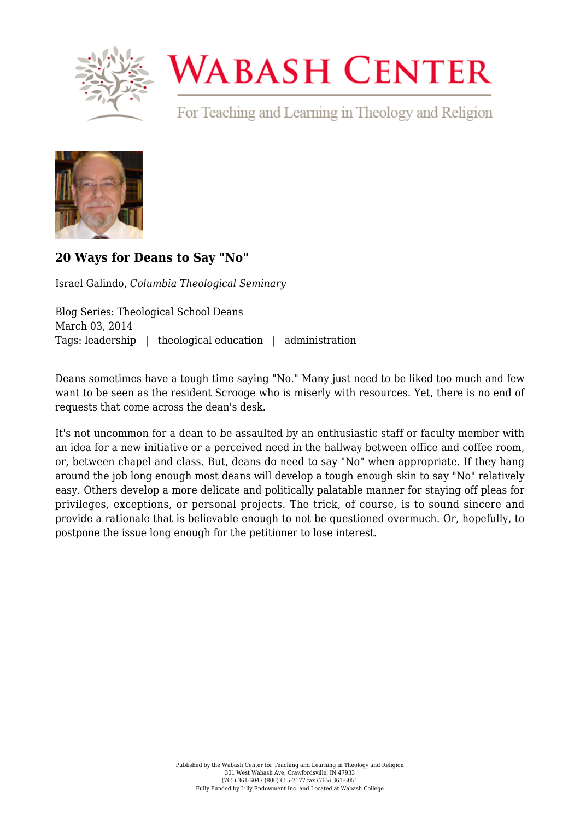

## **WABASH CENTER**

For Teaching and Learning in Theology and Religion



## **[20 Ways for Deans to Say "No"](https://www.wabashcenter.wabash.edu/2014/03/20-ways-for-deans-to-say-no/)**

Israel Galindo, *Columbia Theological Seminary*

Blog Series: Theological School Deans March 03, 2014 Tags: leadership | theological education | administration

Deans sometimes have a tough time saying "No." Many just need to be liked too much and few want to be seen as the resident Scrooge who is miserly with resources. Yet, there is no end of requests that come across the dean's desk.

It's not uncommon for a dean to be assaulted by an enthusiastic staff or faculty member with an idea for a new initiative or a perceived need in the hallway between office and coffee room, or, between chapel and class. But, deans do need to say "No" when appropriate. If they hang around the job long enough most deans will develop a tough enough skin to say "No" relatively easy. Others develop a more delicate and politically palatable manner for staying off pleas for privileges, exceptions, or personal projects. The trick, of course, is to sound sincere and provide a rationale that is believable enough to not be questioned overmuch. Or, hopefully, to postpone the issue long enough for the petitioner to lose interest.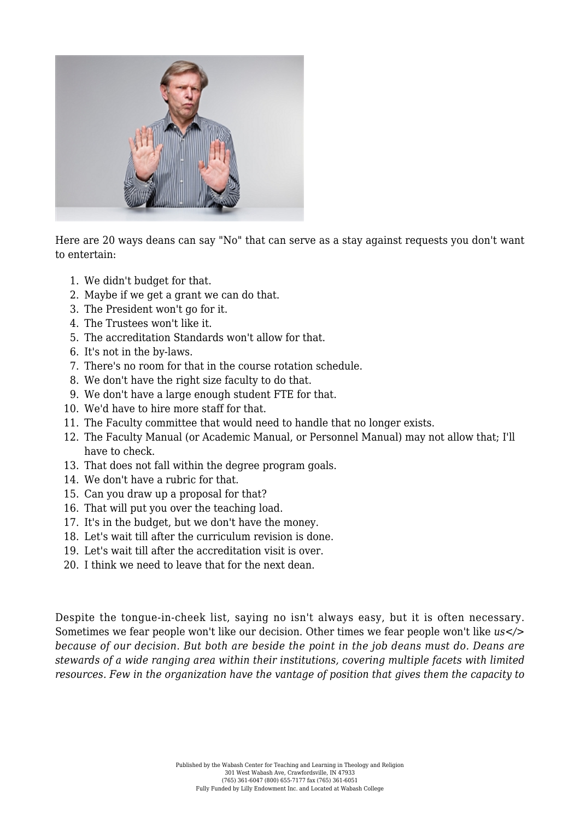

Here are 20 ways deans can say "No" that can serve as a stay against requests you don't want to entertain:

- 1. We didn't budget for that.
- 2. Maybe if we get a grant we can do that.
- 3. The President won't go for it.
- 4. The Trustees won't like it.
- 5. The accreditation Standards won't allow for that.
- 6. It's not in the by-laws.
- 7. There's no room for that in the course rotation schedule.
- 8. We don't have the right size faculty to do that.
- 9. We don't have a large enough student FTE for that.
- 10. We'd have to hire more staff for that.
- 11. The Faculty committee that would need to handle that no longer exists.
- 12. The Faculty Manual (or Academic Manual, or Personnel Manual) may not allow that; I'll have to check.
- 13. That does not fall within the degree program goals.
- 14. We don't have a rubric for that.
- 15. Can you draw up a proposal for that?
- 16. That will put you over the teaching load.
- 17. It's in the budget, but we don't have the money.
- 18. Let's wait till after the curriculum revision is done.
- 19. Let's wait till after the accreditation visit is over.
- 20. I think we need to leave that for the next dean.

Despite the tongue-in-cheek list, saying no isn't always easy, but it is often necessary. Sometimes we fear people won't like our decision. Other times we fear people won't like *us</> because of our decision. But both are beside the point in the job deans must do. Deans are stewards of a wide ranging area within their institutions, covering multiple facets with limited resources. Few in the organization have the vantage of position that gives them the capacity to*